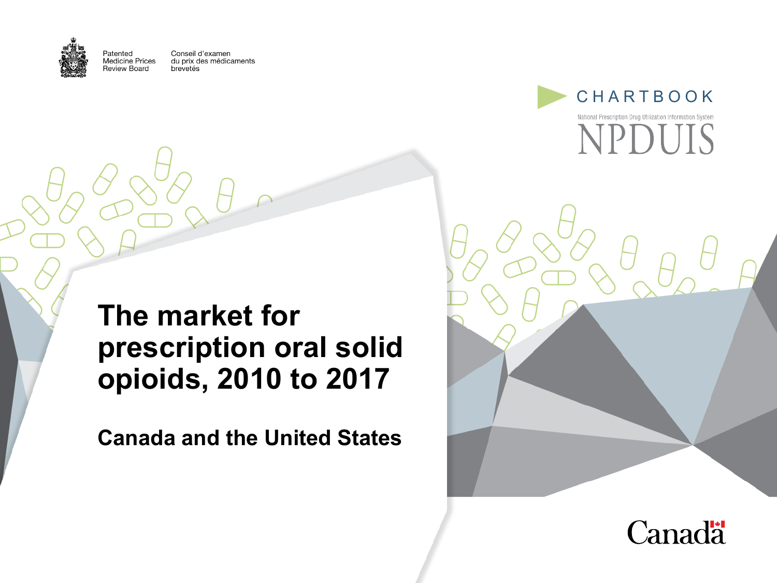

Patented

Conseil d'examen **Medicine Prices** du prix des médicaments Review Board brevetés



### **The market for prescription oral solid opioids, 2010 to 2017**

**Canada and the United States**



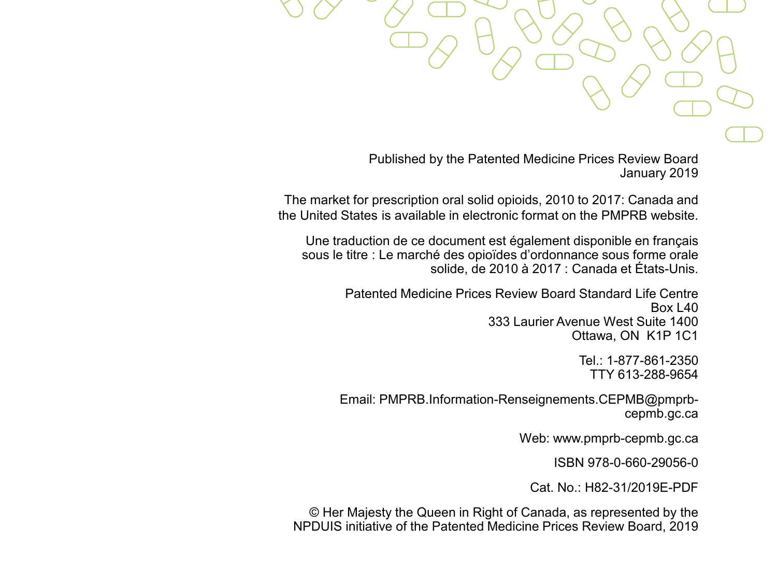Published by the Patented Medicine Prices Review Board January 2019

The market for prescription oral solid opioids, 2010 to 2017: Canada and the United States is available in electronic format on the PMPRB website.

Une traduction de ce document est également disponible en français sous le titre : Le marché des opioïdes d'ordonnance sous forme orale solide, de 2010 à 2017 : Canada et États-Unis.

> Patented Medicine Prices Review Board Standard Life Centre Box L40 333 Laurier Avenue West Suite 1400 Ottawa, ON K1P 1C1

> > Tel.: 1-877-861-2350 TTY 613-288-9654

Email: PMPRB.Information-Renseignements.CEPMB@pmprbcepmb.gc.ca

Web: www.pmprb-cepmb.gc.ca

ISBN 978-0-660-29056-0

Cat. No.: H82-31/2019E-PDF

© Her Majesty the Queen in Right of Canada, as represented by the NPDUIS initiative of the Patented Medicine Prices Review Board, 2019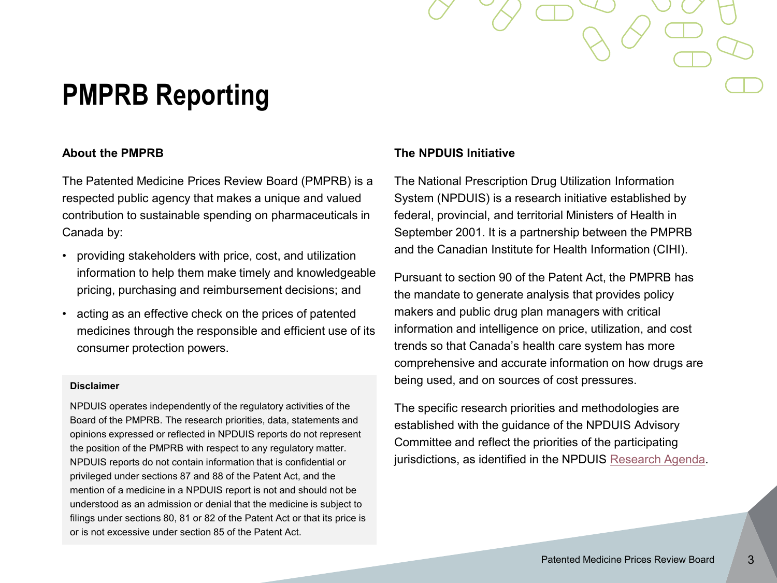## **PMPRB Reporting**

#### **About the PMPRB**

The Patented Medicine Prices Review Board (PMPRB) is a respected public agency that makes a unique and valued contribution to sustainable spending on pharmaceuticals in Canada by:

- providing stakeholders with price, cost, and utilization information to help them make timely and knowledgeable pricing, purchasing and reimbursement decisions; and
- acting as an effective check on the prices of patented medicines through the responsible and efficient use of its consumer protection powers.

#### **Disclaimer**

NPDUIS operates independently of the regulatory activities of the Board of the PMPRB. The research priorities, data, statements and opinions expressed or reflected in NPDUIS reports do not represent the position of the PMPRB with respect to any regulatory matter. NPDUIS reports do not contain information that is confidential or privileged under sections 87 and 88 of the Patent Act, and the mention of a medicine in a NPDUIS report is not and should not be understood as an admission or denial that the medicine is subject to filings under sections 80, 81 or 82 of the Patent Act or that its price is or is not excessive under section 85 of the Patent Act.

#### **The NPDUIS Initiative**

The National Prescription Drug Utilization Information System (NPDUIS) is a research initiative established by federal, provincial, and territorial Ministers of Health in September 2001. It is a partnership between the PMPRB and the Canadian Institute for Health Information (CIHI).

Pursuant to section 90 of the Patent Act, the PMPRB has the mandate to generate analysis that provides policy makers and public drug plan managers with critical information and intelligence on price, utilization, and cost trends so that Canada's health care system has more comprehensive and accurate information on how drugs are being used, and on sources of cost pressures.

The specific research priorities and methodologies are established with the guidance of the NPDUIS Advisory Committee and reflect the priorities of the participating jurisdictions, as identified in the NPDUIS [Research Agenda.](http://www.pmprb-cepmb.gc.ca/en/npduis/research-agenda)

3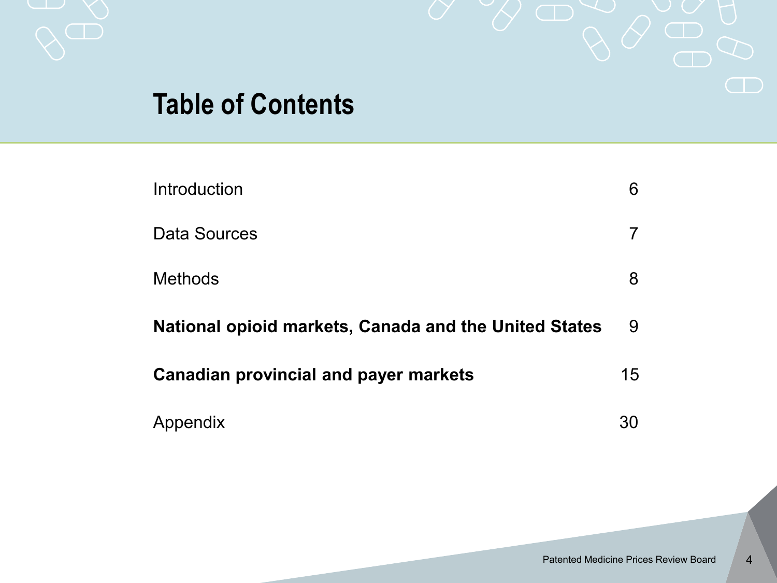

## **Table of Contents**

| Introduction                                          | 6  |
|-------------------------------------------------------|----|
| Data Sources                                          |    |
| <b>Methods</b>                                        | 8  |
| National opioid markets, Canada and the United States | 9  |
| <b>Canadian provincial and payer markets</b>          | 15 |
| Appendix                                              |    |

4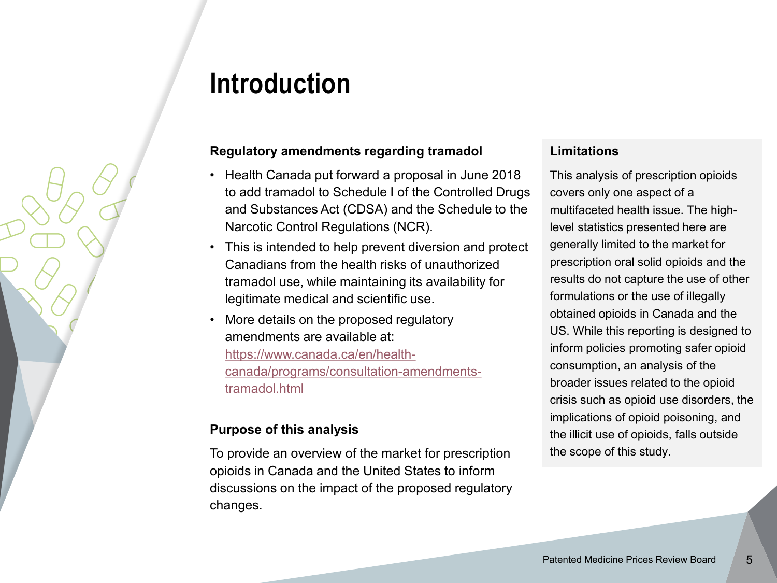## **Introduction**

#### **Regulatory amendments regarding tramadol**

- Health Canada put forward a proposal in June 2018 to add tramadol to Schedule I of the Controlled Drugs and Substances Act (CDSA) and the Schedule to the Narcotic Control Regulations (NCR).
- This is intended to help prevent diversion and protect Canadians from the health risks of unauthorized tramadol use, while maintaining its availability for legitimate medical and scientific use.
- More details on the proposed regulatory amendments are available at: https://www.canada.ca/en/health[canada/programs/consultation-amendments](https://www.canada.ca/en/health-canada/programs/consultation-amendments-tramadol.html)tramadol.html

#### **Purpose of this analysis**

To provide an overview of the market for prescription opioids in Canada and the United States to inform discussions on the impact of the proposed regulatory changes.

#### **Limitations**

This analysis of prescription opioids covers only one aspect of a multifaceted health issue. The highlevel statistics presented here are generally limited to the market for prescription oral solid opioids and the results do not capture the use of other formulations or the use of illegally obtained opioids in Canada and the US. While this reporting is designed to inform policies promoting safer opioid consumption, an analysis of the broader issues related to the opioid crisis such as opioid use disorders, the implications of opioid poisoning, and the illicit use of opioids, falls outside the scope of this study.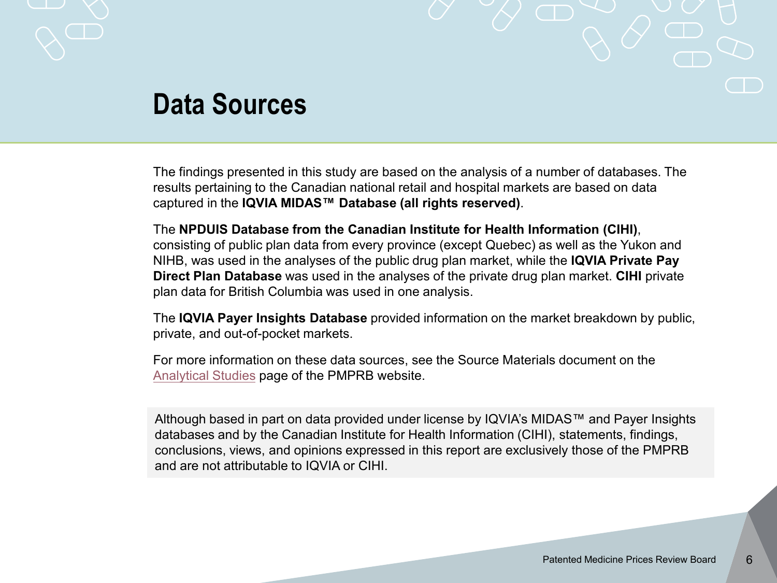

### **Data Sources**

The findings presented in this study are based on the analysis of a number of databases. The results pertaining to the Canadian national retail and hospital markets are based on data captured in the **IQVIA MIDAS™ Database (all rights reserved)**.

The **NPDUIS Database from the Canadian Institute for Health Information (CIHI)**, consisting of public plan data from every province (except Quebec) as well as the Yukon and NIHB, was used in the analyses of the public drug plan market, while the **IQVIA Private Pay Direct Plan Database** was used in the analyses of the private drug plan market. **CIHI** private plan data for British Columbia was used in one analysis.

The **IQVIA Payer Insights Database** provided information on the market breakdown by public, private, and out-of-pocket markets.

For more information on these data sources, see the Source Materials document on the [Analytical Studies](http://www.pmprb-cepmb.gc.ca/en/npduis/analytical-studies) page of the PMPRB website.

Although based in part on data provided under license by IQVIA's MIDAS™ and Payer Insights databases and by the Canadian Institute for Health Information (CIHI), statements, findings, conclusions, views, and opinions expressed in this report are exclusively those of the PMPRB and are not attributable to IQVIA or CIHI.

6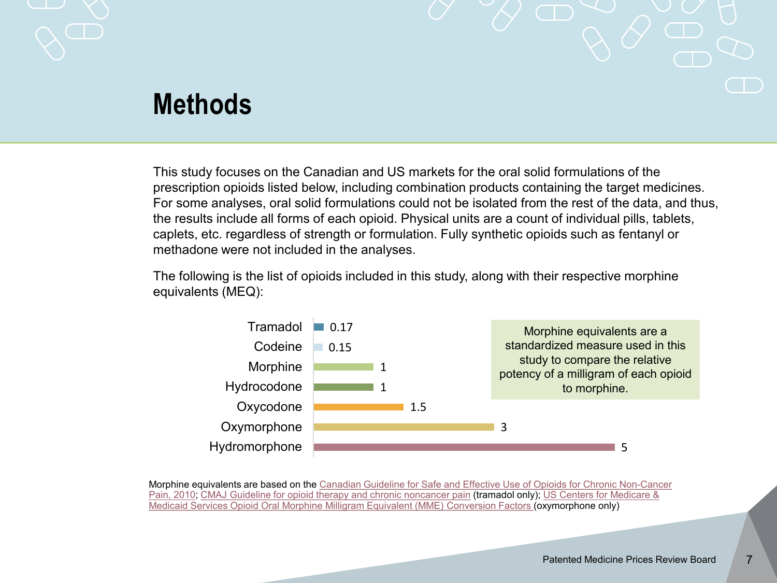

### **Methods**

This study focuses on the Canadian and US markets for the oral solid formulations of the prescription opioids listed below, including combination products containing the target medicines. For some analyses, oral solid formulations could not be isolated from the rest of the data, and thus, the results include all forms of each opioid. Physical units are a count of individual pills, tablets, caplets, etc. regardless of strength or formulation. Fully synthetic opioids such as fentanyl or methadone were not included in the analyses.

The following is the list of opioids included in this study, along with their respective morphine equivalents (MEQ):



[Morphine equivalents are based on the Canadian Guideline for Safe and Effective Use of Opioids for Chronic Non-Cancer](http://nationalpaincentre.mcmaster.ca/documents/opioid_guideline_part_b_v5_6.pdf)  Pain, 2010; [C](https://www.cms.gov/Medicare/Prescription-Drug-Coverage/PrescriptionDrugCovContra/Downloads/Opioid-Morphine-EQ-Conversion-Factors-vFeb-2018.pdf)[MAJ Guideline for opioid therapy and chronic noncancer](http://www.cmaj.ca/content/189/18/E659) pain (tramadol only); US Centers for Medicare & Medicaid Services Opioid Oral Morphine Milligram Equivalent (MME) Conversion Factors (oxymorphone only)

7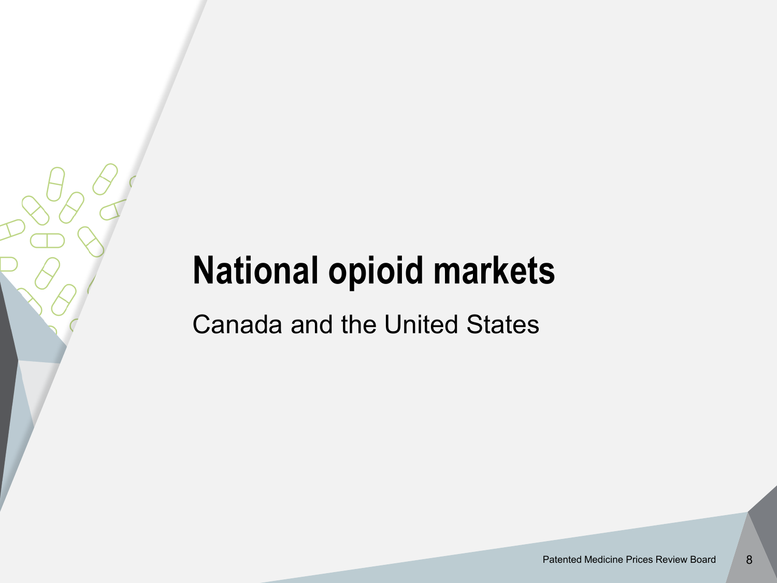# **National opioid markets**

Canada and the United States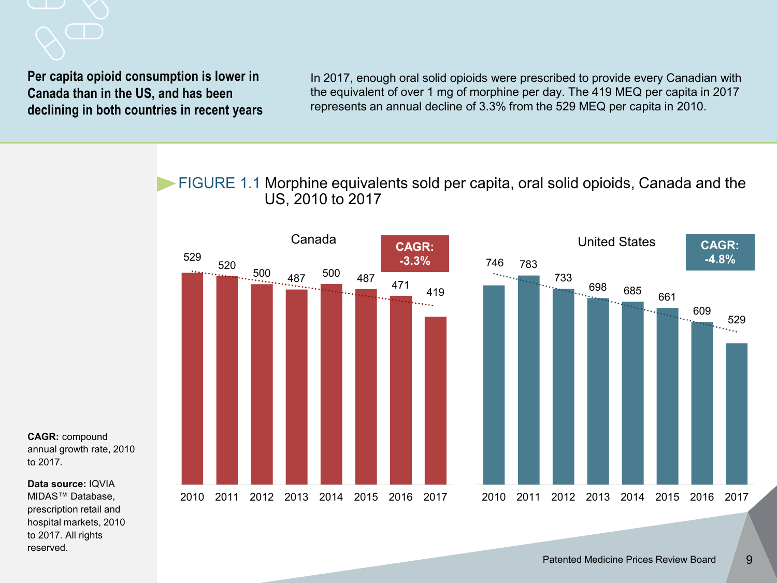

In 2017, enough oral solid opioids were prescribed to provide every Canadian with the equivalent of over 1 mg of morphine per day. The 419 MEQ per capita in 2017 represents an annual decline of 3.3% from the 529 MEQ per capita in 2010.

FIGURE 1.1 Morphine equivalents sold per capita, oral solid opioids, Canada and the US, 2010 to 2017



**CAGR:** compound annual growth rate, 2010 to 2017.

**Data source:** IQVIA MIDAS™ Database, prescription retail and hospital markets, 2010 to 2017. All rights reserved.

9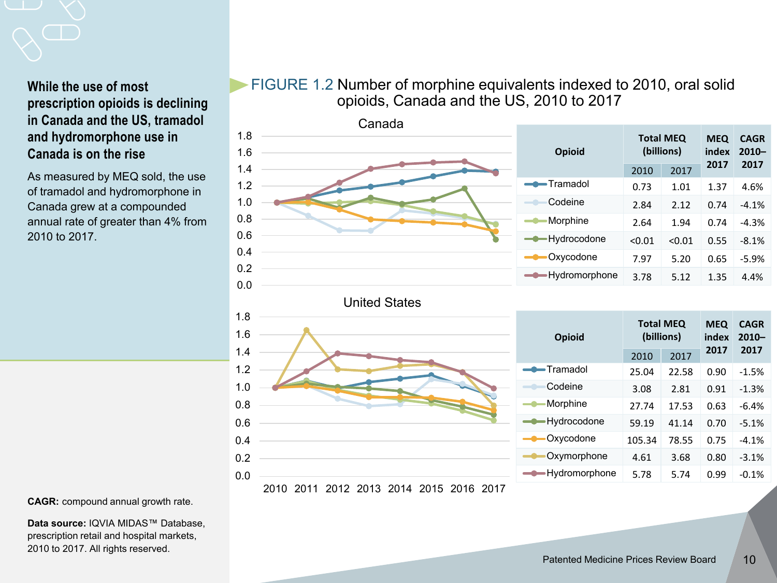#### **While the use of most prescription opioids is declining in Canada and the US, tramadol and hydromorphone use in Canada is on the rise**

As measured by MEQ sold, the use of tramadol and hydromorphone in Canada grew at a compounded annual rate of greater than 4% from 2010 to 2017.

### FIGURE 1.2 Number of morphine equivalents indexed to 2010, oral solid opioids, Canada and the US, 2010 to 2017



**CAGR:** compound annual growth rate.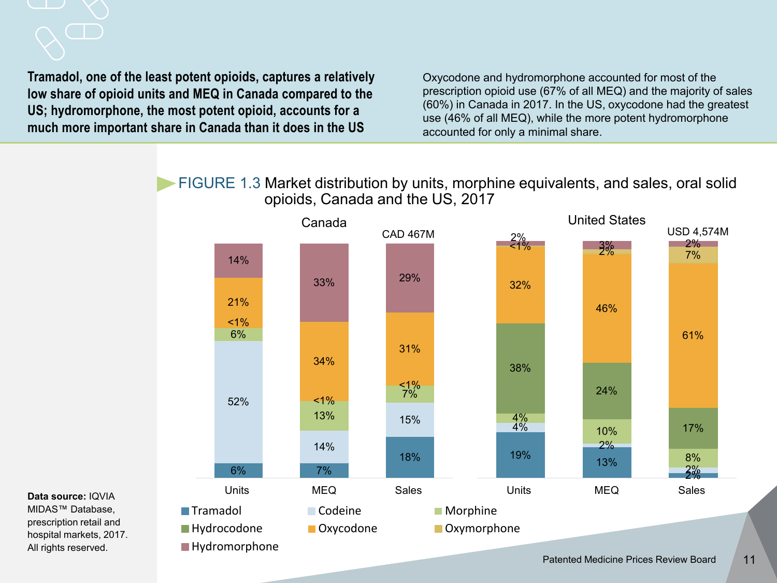### **Tramadol, one of the least potent opioids, captures a relatively low share of opioid units and MEQ in Canada compared to the US; hydromorphone, the most potent opioid, accounts for a much more important share in Canada than it does in the US**

Oxycodone and hydromorphone accounted for most of the prescription opioid use (67% of all MEQ) and the majority of sales (60%) in Canada in 2017. In the US, oxycodone had the greatest use (46% of all MEQ), while the more potent hydromorphone accounted for only a minimal share.

FIGURE 1.3 Market distribution by units, morphine equivalents, and sales, oral solid opioids, Canada and the US, 2017



**Data source:** IQVIA MIDAS™ Database, prescription retail and hospital markets, 2017.

All rights reserved.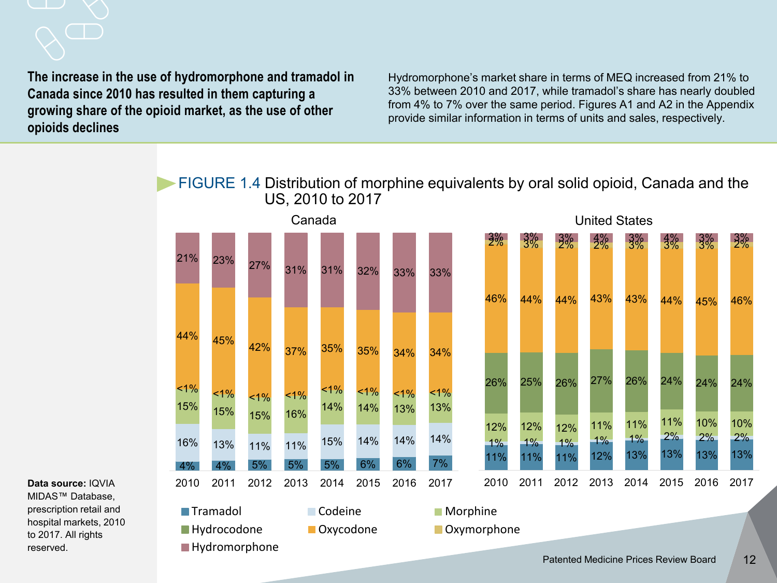#### **The increase in the use of hydromorphone and tramadol in Canada since 2010 has resulted in them capturing a growing share of the opioid market, as the use of other opioids declines**

Hydromorphone's market share in terms of MEQ increased from 21% to 33% between 2010 and 2017, while tramadol's share has nearly doubled from 4% to 7% over the same period. Figures A1 and A2 in the Appendix provide similar information in terms of units and sales, respectively.

FIGURE 1.4 Distribution of morphine equivalents by oral solid opioid, Canada and the US, 2010 to 2017

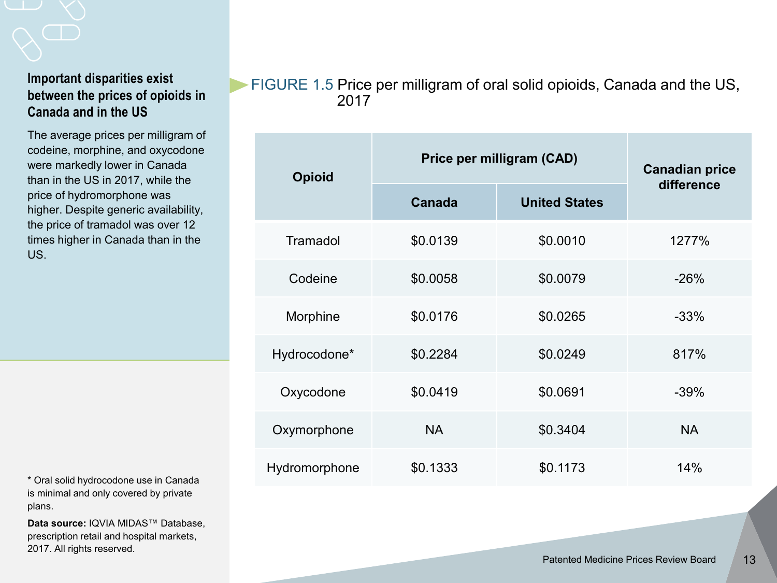#### **Important disparities exist between the prices of opioids in Canada and in the US**

The average prices per milligram of codeine, morphine, and oxycodone were markedly lower in Canada than in the US in 2017, while the price of hydromorphone was higher. Despite generic availability, the price of tramadol was over 12 times higher in Canada than in the US.

\* Oral solid hydrocodone use in Canada is minimal and only covered by private plans.

**Data source:** IQVIA MIDAS™ Database, prescription retail and hospital markets, 2017. All rights reserved.

FIGURE 1.5 Price per milligram of oral solid opioids, Canada and the US, 2017

| <b>Opioid</b> | Price per milligram (CAD) | <b>Canadian price</b> |            |
|---------------|---------------------------|-----------------------|------------|
|               | <b>Canada</b>             | <b>United States</b>  | difference |
| Tramadol      | \$0.0139                  | \$0.0010              | 1277%      |
| Codeine       | \$0.0058                  | \$0.0079              | $-26%$     |
| Morphine      | \$0.0176                  | \$0.0265              | $-33%$     |
| Hydrocodone*  | \$0.2284                  | \$0.0249              | 817%       |
| Oxycodone     | \$0.0419                  | \$0.0691              | $-39%$     |
| Oxymorphone   | <b>NA</b>                 | \$0.3404              | <b>NA</b>  |
| Hydromorphone | \$0.1333                  | \$0.1173              | 14%        |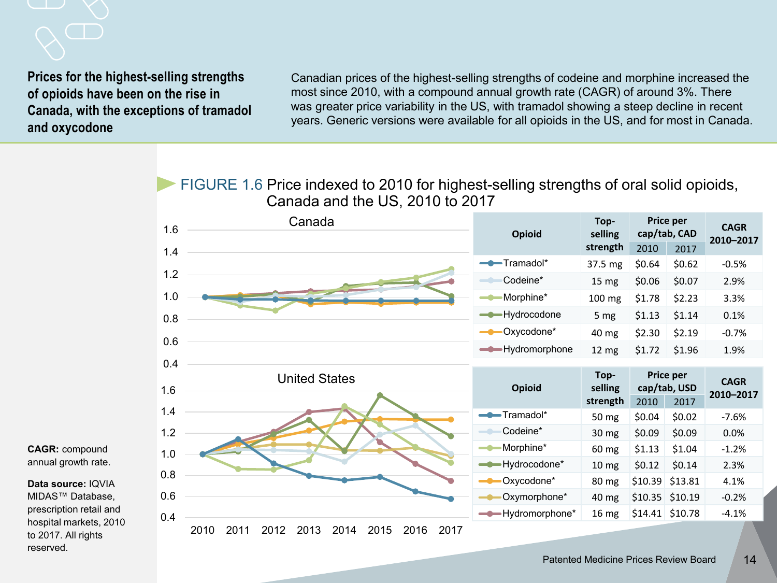**Prices for the highest-selling strengths of opioids have been on the rise in Canada, with the exceptions of tramadol and oxycodone**

Canadian prices of the highest-selling strengths of codeine and morphine increased the most since 2010, with a compound annual growth rate (CAGR) of around 3%. There was greater price variability in the US, with tramadol showing a steep decline in recent years. Generic versions were available for all opioids in the US, and for most in Canada.

FIGURE 1.6 Price indexed to 2010 for highest-selling strengths of oral solid opioids, Canada and the US, 2010 to 2017

| 1.6 | Canada               | <b>Opioid</b>     | Top-<br>selling  |                           | Price per<br>cap/tab, CAD | <b>CAGR</b><br>2010-2017 |
|-----|----------------------|-------------------|------------------|---------------------------|---------------------------|--------------------------|
| 1.4 |                      |                   | strength         | 2010                      | 2017                      |                          |
|     |                      | -Tramadol*        | 37.5 mg          | \$0.64                    | \$0.62                    | $-0.5%$                  |
| 1.2 |                      | Codeine*          | 15 mg            | \$0.06                    | \$0.07                    | 2.9%                     |
| 1.0 |                      | Morphine*         | 100 mg           | \$1.78                    | \$2.23                    | 3.3%                     |
| 0.8 |                      | - Hydrocodone     | 5 mg             | \$1.13                    | \$1.14                    | 0.1%                     |
| 0.6 |                      | Oxycodone*        | 40 mg            | \$2.30                    | \$2.19                    | $-0.7%$                  |
|     |                      | - Hydromorphone   | 12 <sub>mg</sub> | \$1.72                    | \$1.96                    | 1.9%                     |
| 0.4 |                      |                   |                  |                           |                           |                          |
|     |                      |                   |                  | Price per<br>cap/tab, USD |                           | <b>CAGR</b>              |
|     | <b>United States</b> |                   | Top-<br>selling  |                           |                           |                          |
| 1.6 |                      | <b>Opioid</b>     | strength         | 2010                      | 2017                      | 2010-2017                |
| 1.4 |                      | -Tramadol*        | 50 mg            | \$0.04                    | \$0.02                    | $-7.6%$                  |
| 1.2 |                      | Codeine*          | 30 mg            | \$0.09                    | \$0.09                    | 0.0%                     |
|     |                      | Morphine*         | 60 mg            | \$1.13                    | \$1.04                    | $-1.2%$                  |
| 1.0 |                      | -Hydrocodone*     | 10 <sub>mg</sub> | \$0.12                    | \$0.14                    | 2.3%                     |
| 0.8 |                      | Oxycodone*        | 80 mg            | \$10.39                   | \$13.81                   | 4.1%                     |
| 0.6 |                      | Oxymorphone*      | 40 mg            |                           | \$10.35 \$10.19           | $-0.2%$                  |
| 0.4 |                      | -O-Hydromorphone* | 16 mg            |                           | $$14.41$ \$10.78          | $-4.1%$                  |

**CAGR:** compound annual growth rate.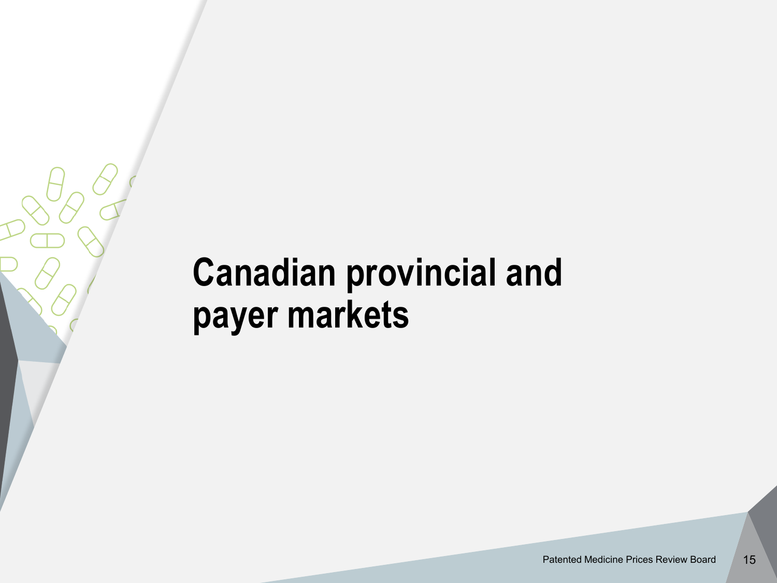# **Canadian provincial and payer markets**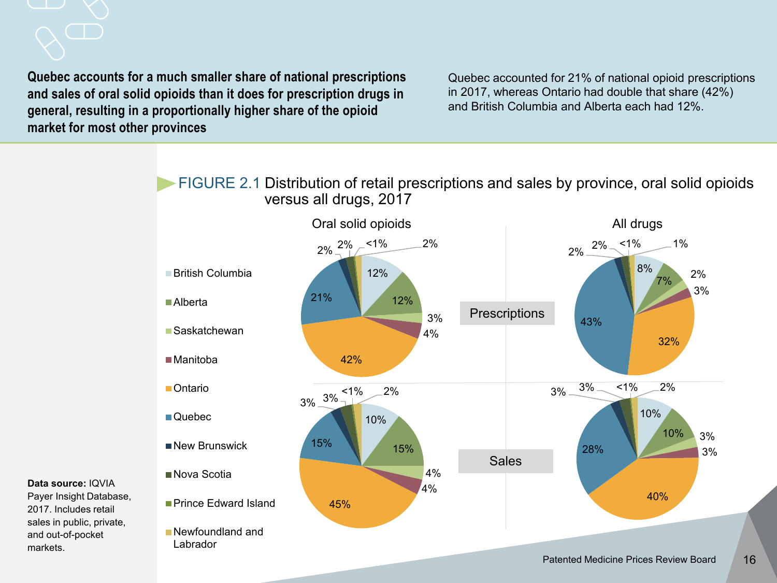**Quebec accounts for a much smaller share of national prescriptions and sales of oral solid opioids than it does for prescription drugs in general, resulting in a proportionally higher share of the opioid market for most other provinces** 

Quebec accounted for 21% of national opioid prescriptions in 2017, whereas Ontario had double that share (42%) and British Columbia and Alberta each had 12%.

FIGURE 2.1 Distribution of retail prescriptions and sales by province, oral solid opioids versus all drugs, 2017



**Data source:** IQVIA Payer Insight Database,

2017. Includes retail sales in public, private, and out-of-pocket markets.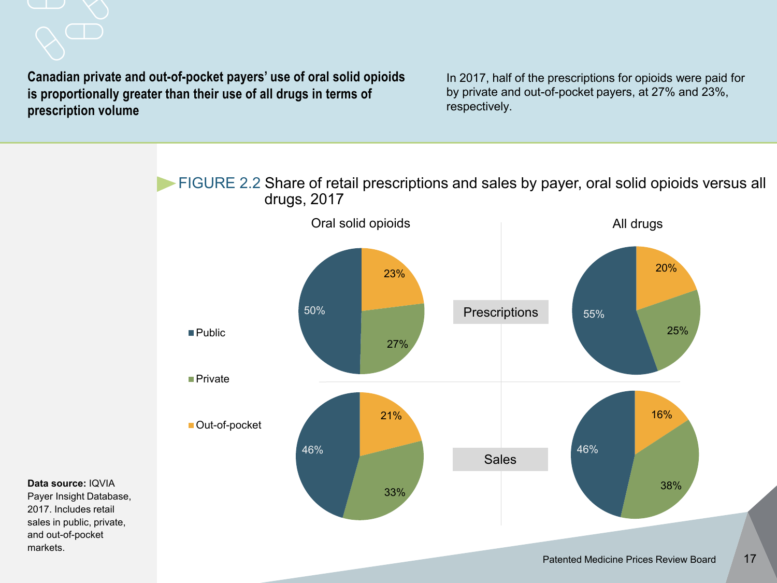**Canadian private and out-of-pocket payers' use of oral solid opioids is proportionally greater than their use of all drugs in terms of prescription volume**

In 2017, half of the prescriptions for opioids were paid for by private and out-of-pocket payers, at 27% and 23%, respectively.

FIGURE 2.2 Share of retail prescriptions and sales by payer, oral solid opioids versus all drugs, 2017



**Data source:** IQVIA Payer Insight Database, 2017. Includes retail sales in public, private, and out-of-pocket markets.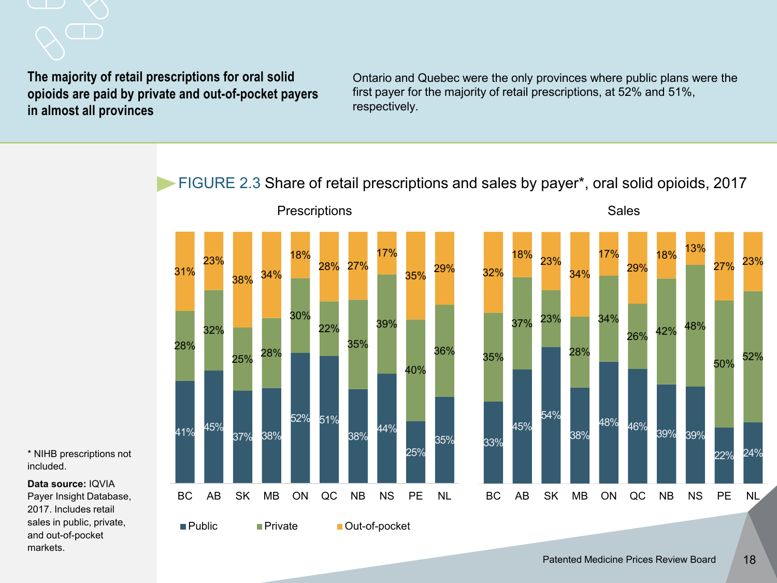**The majority of retail prescriptions for oral solid opioids are paid by private and out-of-pocket payers in almost all provinces** 

Ontario and Quebec were the only provinces where public plans were the first payer for the majority of retail prescriptions, at 52% and 51%, respectively.

FIGURE 2.3 Share of retail prescriptions and sales by payer\*, oral solid opioids, 2017



\* NIHB prescriptions not included.

**Data source:** IQVIA Payer Insight Database, 2017. Includes retail sales in public, private, and out-of-pocket markets.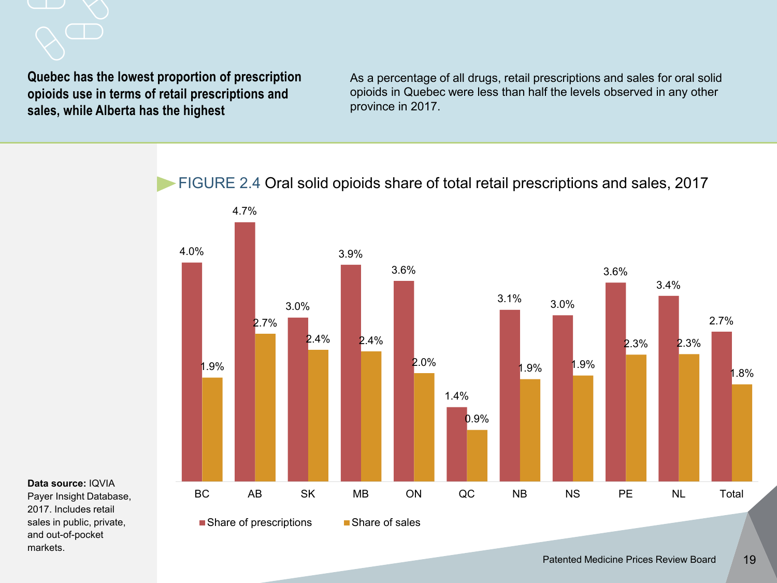**Quebec has the lowest proportion of prescription opioids use in terms of retail prescriptions and sales, while Alberta has the highest**

As a percentage of all drugs, retail prescriptions and sales for oral solid opioids in Quebec were less than half the levels observed in any other province in 2017.

FIGURE 2.4 Oral solid opioids share of total retail prescriptions and sales, 2017



**Data source:** IQVIA Payer Insight Database, 2017. Includes retail sales in public, private,

and out-of-pocket

markets.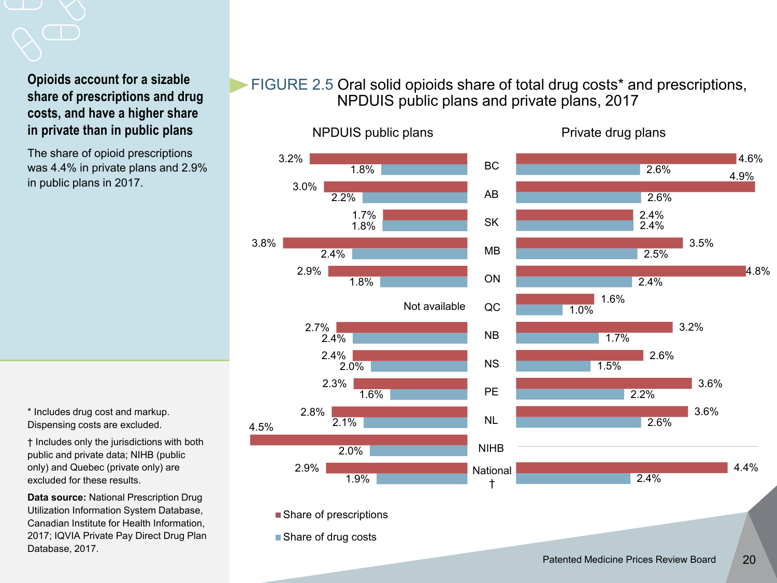#### **Opioids account for a sizable share of prescriptions and drug costs, and have a higher share in private than in public plans**

The share of opioid prescriptions was 4.4% in private plans and 2.9% in public plans in 2017.

\* Includes drug cost and markup. Dispensing costs are excluded.

† Includes only the jurisdictions with both public and private data; NIHB (public only) and Quebec (private only) are excluded for these results.

**Data source:** National Prescription Drug Utilization Information System Database, Canadian Institute for Health Information, 2017; IQVIA Private Pay Direct Drug Plan Database, 2017.

### FIGURE 2.5 Oral solid opioids share of total drug costs\* and prescriptions, NPDUIS public plans and private plans, 2017



Private drug plans

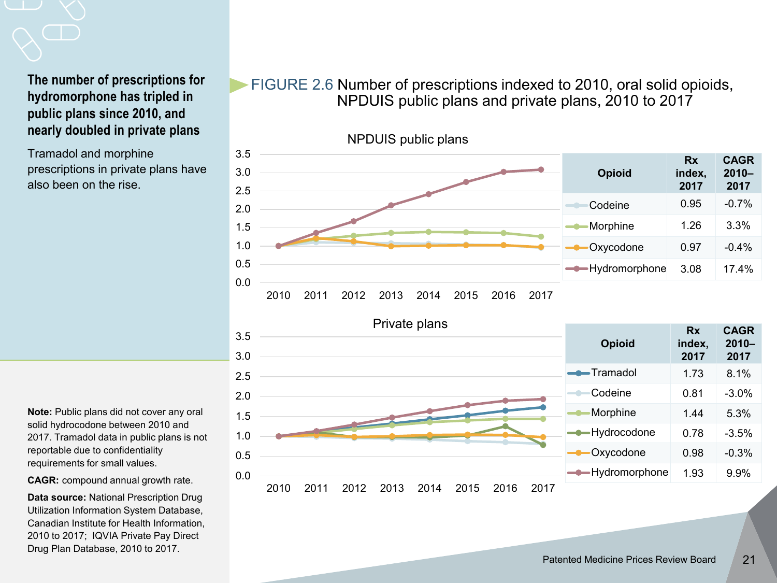#### **The number of prescriptions for hydromorphone has tripled in public plans since 2010, and nearly doubled in private plans**

Tramadol and morphine prescriptions in private plans have also been on the rise.

FIGURE 2.6 Number of prescriptions indexed to 2010, oral solid opioids, NPDUIS public plans and private plans, 2010 to 2017



**Note:** Public plans did not cover any oral solid hydrocodone between 2010 and 2017. Tramadol data in public plans is not reportable due to confidentiality requirements for small values.

**CAGR:** compound annual growth rate.

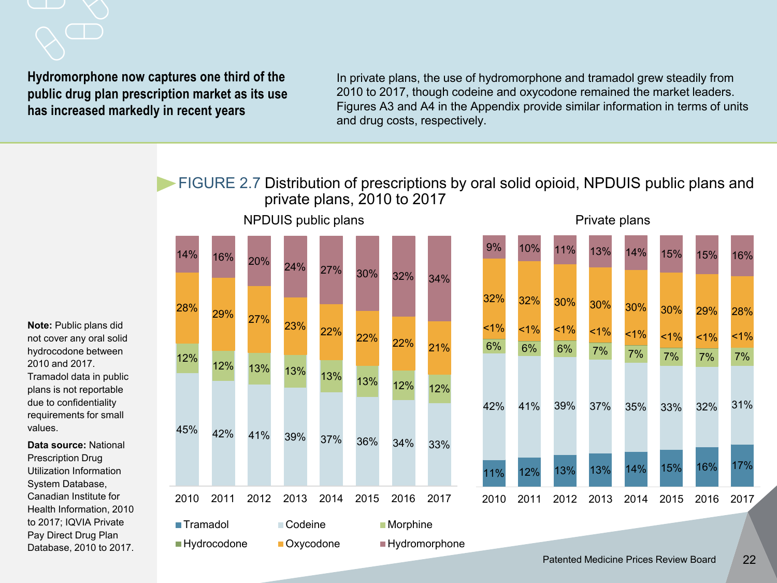**Hydromorphone now captures one third of the public drug plan prescription market as its use has increased markedly in recent years**

In private plans, the use of hydromorphone and tramadol grew steadily from 2010 to 2017, though codeine and oxycodone remained the market leaders. Figures A3 and A4 in the Appendix provide similar information in terms of units and drug costs, respectively.

FIGURE 2.7 Distribution of prescriptions by oral solid opioid, NPDUIS public plans and private plans, 2010 to 2017







**Note:** Public plans did not cover any oral solid hydrocodone between 2010 and 2017. Tramadol data in public plans is not reportable due to confidentiality requirements for small values.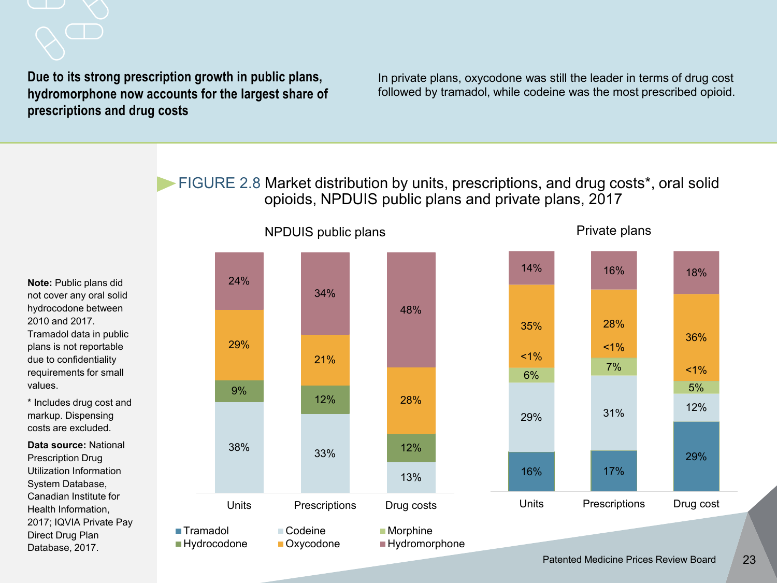**Due to its strong prescription growth in public plans, hydromorphone now accounts for the largest share of prescriptions and drug costs** 

In private plans, oxycodone was still the leader in terms of drug cost followed by tramadol, while codeine was the most prescribed opioid.

FIGURE 2.8 Market distribution by units, prescriptions, and drug costs\*, oral solid opioids, NPDUIS public plans and private plans, 2017

**Note:** Public plans did not cover any oral solid hydrocodone between 2010 and 2017. Tramadol data in public plans is not reportable due to confidentiality requirements for small values.

\* Includes drug cost and markup. Dispensing costs are excluded.

**Data source:** National Prescription Drug Utilization Information System Database, Canadian Institute for Health Information, 2017; IQVIA Private Pay Direct Drug Plan Database, 2017.



Patented Medicine Prices Review Board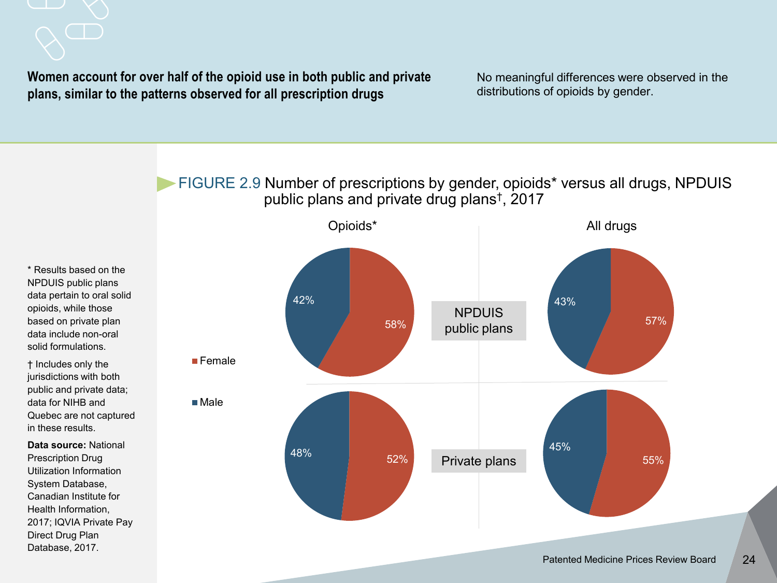#### **Women account for over half of the opioid use in both public and private plans, similar to the patterns observed for all prescription drugs**

No meaningful differences were observed in the distributions of opioids by gender.

FIGURE 2.9 Number of prescriptions by gender, opioids\* versus all drugs, NPDUIS public plans and private drug plans†, 2017

\* Results based on the NPDUIS public plans data pertain to oral solid opioids, while those based on private plan data include non-oral solid formulations.

† Includes only the jurisdictions with both public and private data; data for NIHB and Quebec are not captured in these results.

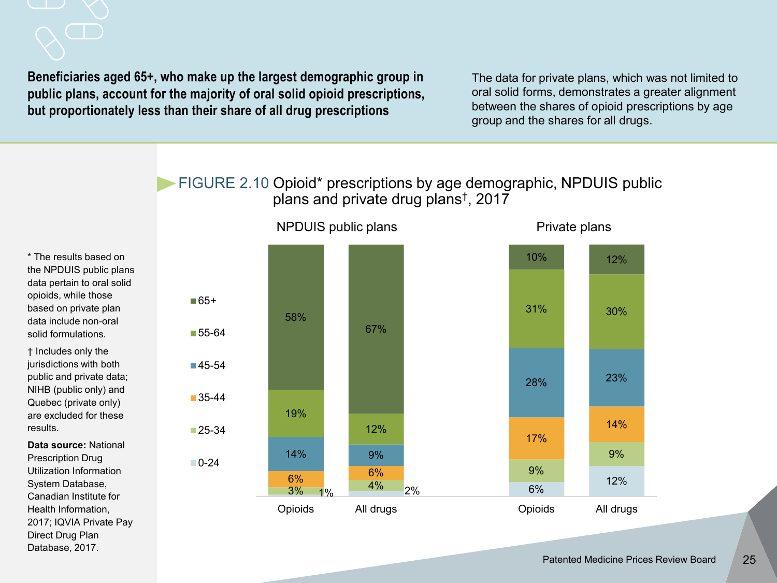**Beneficiaries aged 65+, who make up the largest demographic group in public plans, account for the majority of oral solid opioid prescriptions, but proportionately less than their share of all drug prescriptions**

■65+

 $\Box$  0-24

The data for private plans, which was not limited to oral solid forms, demonstrates a greater alignment between the shares of opioid prescriptions by age group and the shares for all drugs.

#### FIGURE 2.10 Opioid\* prescriptions by age demographic, NPDUIS public plans and private drug plans†, 2017

\* The results based on the NPDUIS public plans data pertain to oral solid opioids, while those based on private plan data include non-oral solid formulations.

† Includes only the jurisdictions with both public and private data; NIHB (public only) and Quebec (private only) are excluded for these results.

**Data source:** National Prescription Drug Utilization Information System Database, Canadian Institute for Health Information, 2017; IQVIA Private Pay Direct Drug Plan Database, 2017.



NPDUIS public plans Private plans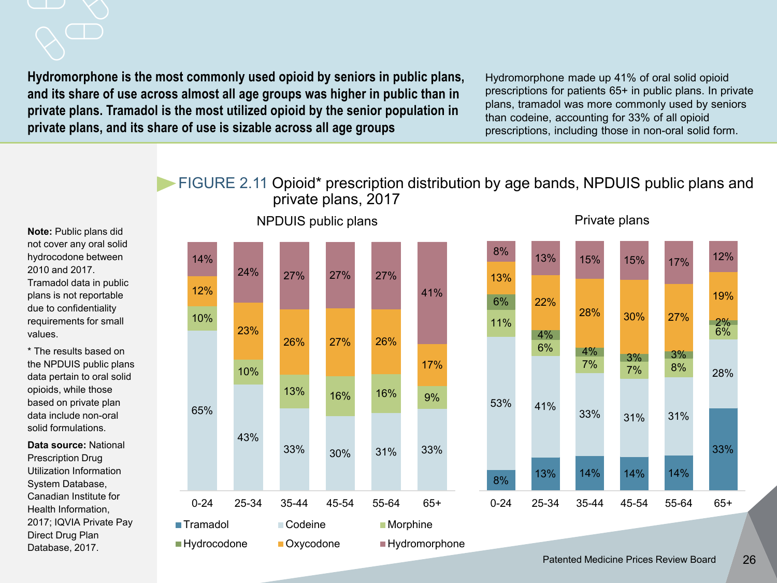#### **Hydromorphone is the most commonly used opioid by seniors in public plans, and its share of use across almost all age groups was higher in public than in private plans. Tramadol is the most utilized opioid by the senior population in private plans, and its share of use is sizable across all age groups**

NPDUIS public plans

Hydromorphone made up 41% of oral solid opioid prescriptions for patients 65+ in public plans. In private plans, tramadol was more commonly used by seniors than codeine, accounting for 33% of all opioid prescriptions, including those in non-oral solid form.

Private plans

#### FIGURE 2.11 Opioid\* prescription distribution by age bands, NPDUIS public plans and private plans, 2017

**Note:** Public plans did not cover any oral solid hydrocodone between 2010 and 2017. Tramadol data in public plans is not reportable due to confidentiality requirements for small values.

\* The results based on the NPDUIS public plans data pertain to oral solid opioids, while those based on private plan data include non-oral solid formulations.

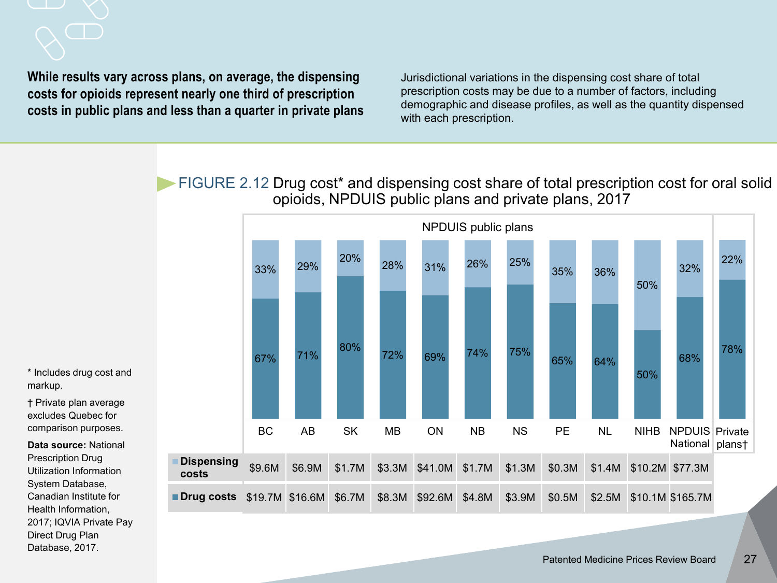## **While results vary across plans, on average, the dispensing costs for opioids represent nearly one third of prescription costs in public plans and less than a quarter in private plans**

Jurisdictional variations in the dispensing cost share of total prescription costs may be due to a number of factors, including demographic and disease profiles, as well as the quantity dispensed with each prescription.

FIGURE 2.12 Drug cost\* and dispensing cost share of total prescription cost for oral solid opioids, NPDUIS public plans and private plans, 2017



\* Includes drug cost and markup.

† Private plan average excludes Quebec for comparison purposes.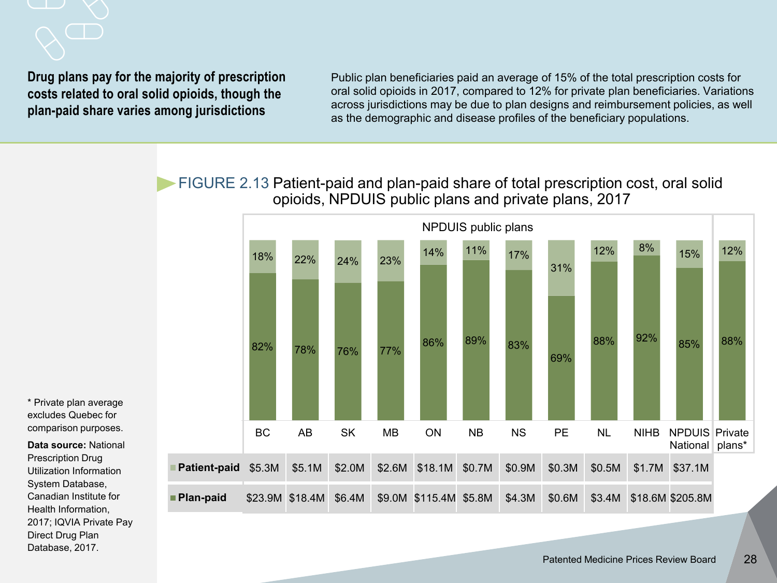**Drug plans pay for the majority of prescription costs related to oral solid opioids, though the plan-paid share varies among jurisdictions**

Public plan beneficiaries paid an average of 15% of the total prescription costs for oral solid opioids in 2017, compared to 12% for private plan beneficiaries. Variations across jurisdictions may be due to plan designs and reimbursement policies, as well as the demographic and disease profiles of the beneficiary populations.

FIGURE 2.13 Patient-paid and plan-paid share of total prescription cost, oral solid opioids, NPDUIS public plans and private plans, 2017



\* Private plan average excludes Quebec for comparison purposes.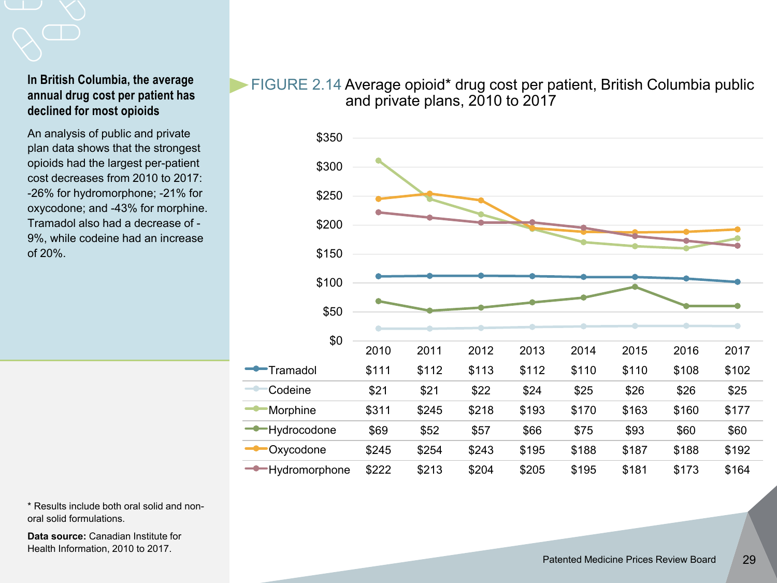#### **In British Columbia, the average annual drug cost per patient has declined for most opioids**

An analysis of public and private plan data shows that the strongest opioids had the largest per-patient cost decreases from 2010 to 2017: -26% for hydromorphone; -21% for oxycodone; and -43% for morphine. Tramadol also had a decrease of - 9%, while codeine had an increase of 20%.

#### FIGURE 2.14 Average opioid\* drug cost per patient, British Columbia public and private plans, 2010 to 2017



\* Results include both oral solid and nonoral solid formulations.

**Data source:** Canadian Institute for Health Information, 2010 to 2017.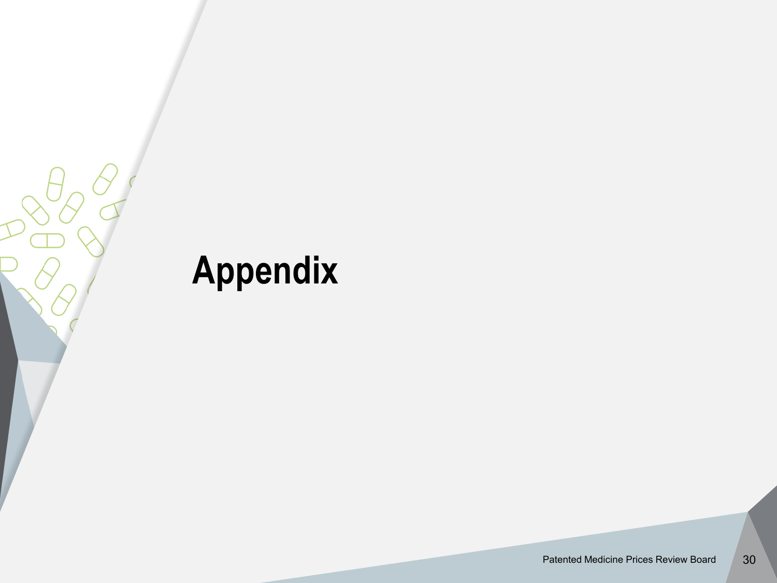# **Appendix**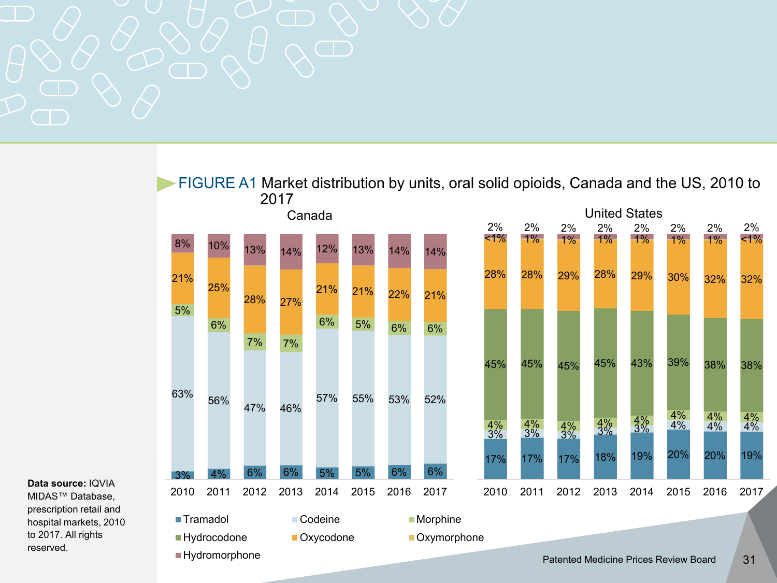

FIGURE A1 Market distribution by units, oral solid opioids, Canada and the US, 2010 to 2017 Canada United States

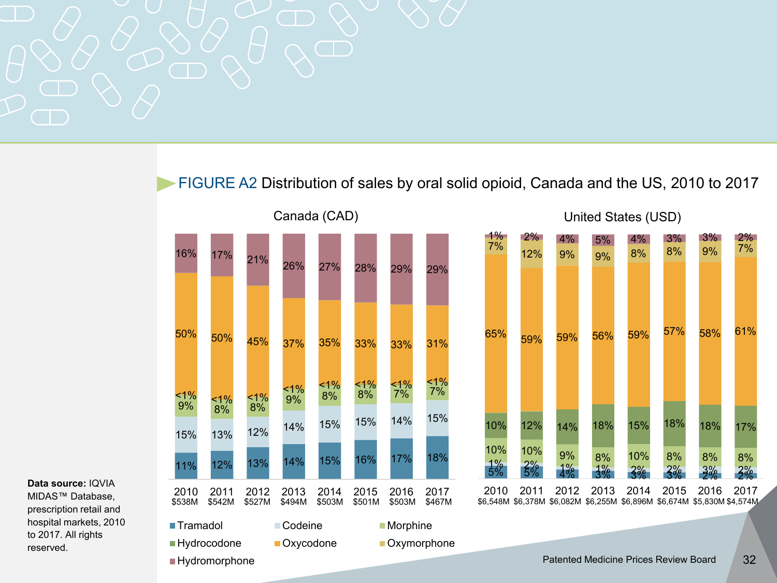

#### FIGURE A2 Distribution of sales by oral solid opioid, Canada and the US, 2010 to 2017





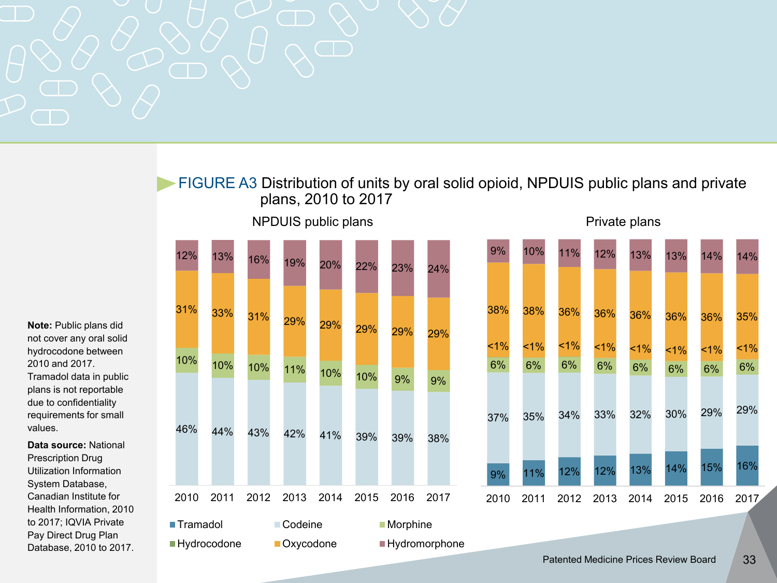

#### FIGURE A3 Distribution of units by oral solid opioid, NPDUIS public plans and private plans, 2010 to 2017







**Note:** Public plans did not cover any oral solid hydrocodone between 2010 and 2017. Tramadol data in public plans is not reportable due to confidentiality requirements for small values.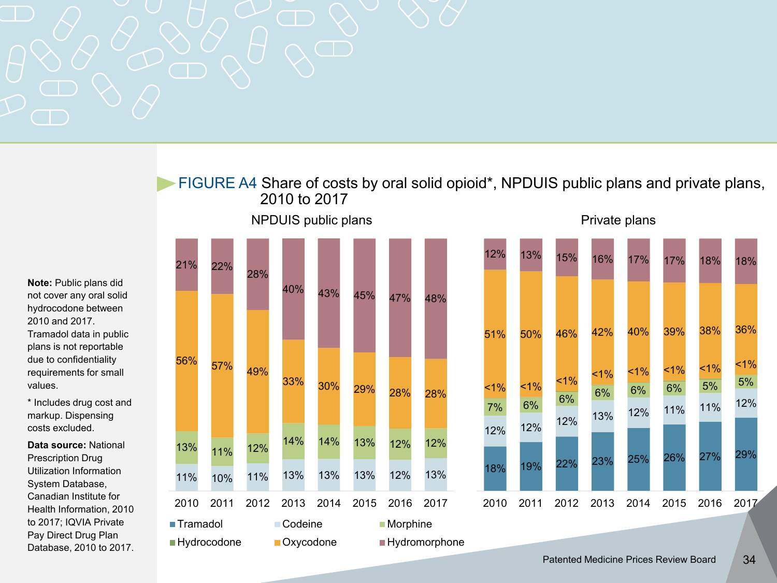

FIGURE A4 Share of costs by oral solid opioid\*, NPDUIS public plans and private plans, 2010 to 2017







**Note:** Public plans did not cover any oral solid hydrocodone between 2010 and 2017. Tramadol data in public

plans is not reportable due to confidentiality requirements for small values.

\* Includes drug cost and markup. Dispensing costs excluded.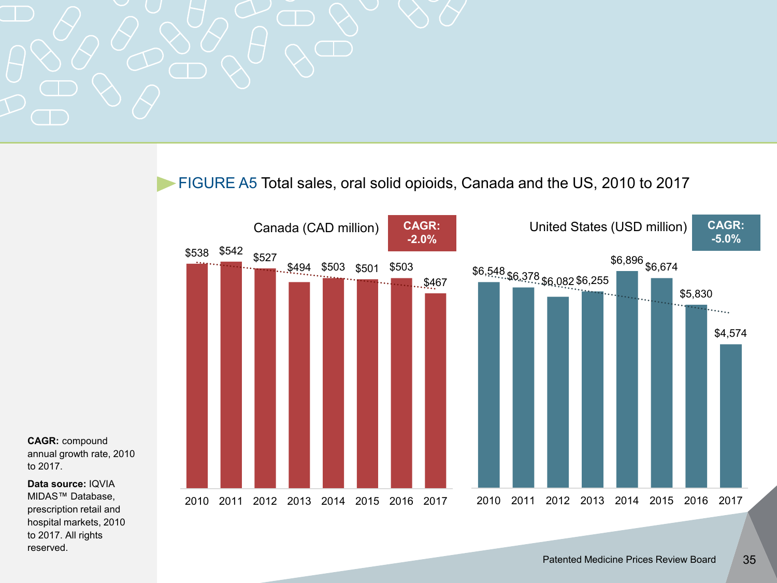FIGURE A5 Total sales, oral solid opioids, Canada and the US, 2010 to 2017



**CAGR:** compound annual growth rate, 2010 to 2017.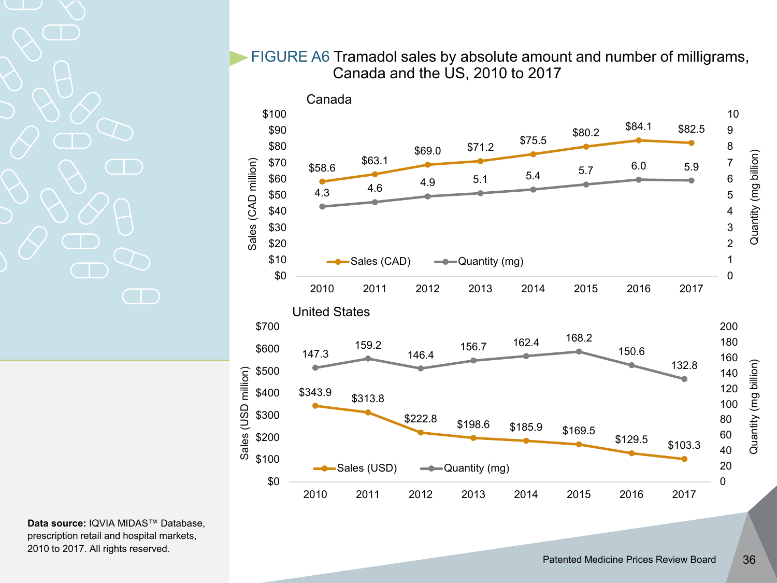FIGURE A6 Tramadol sales by absolute amount and number of milligrams, Canada and the US, 2010 to 2017

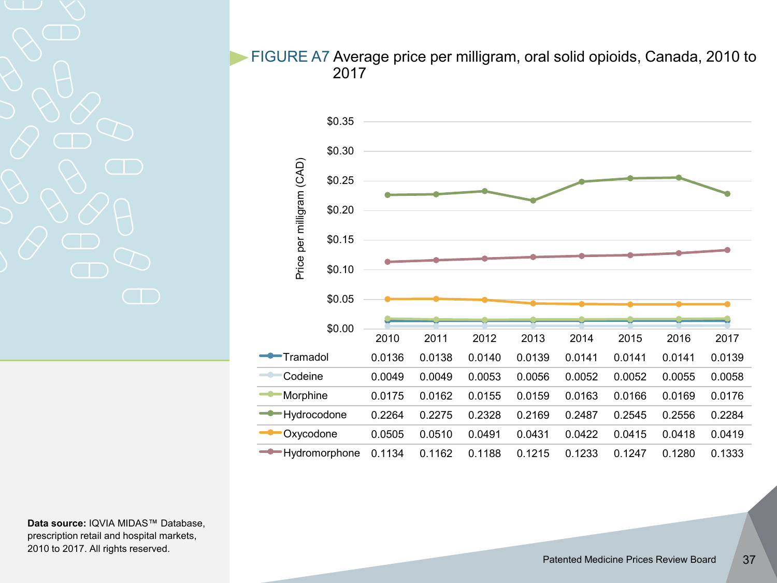#### FIGURE A7 Average price per milligram, oral solid opioids, Canada, 2010 to 2017

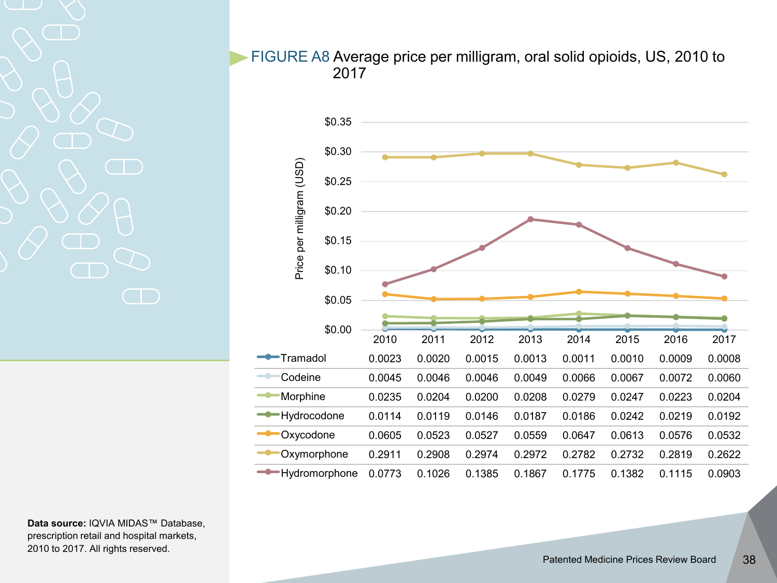FIGURE A8 Average price per milligram, oral solid opioids, US, 2010 to 2017

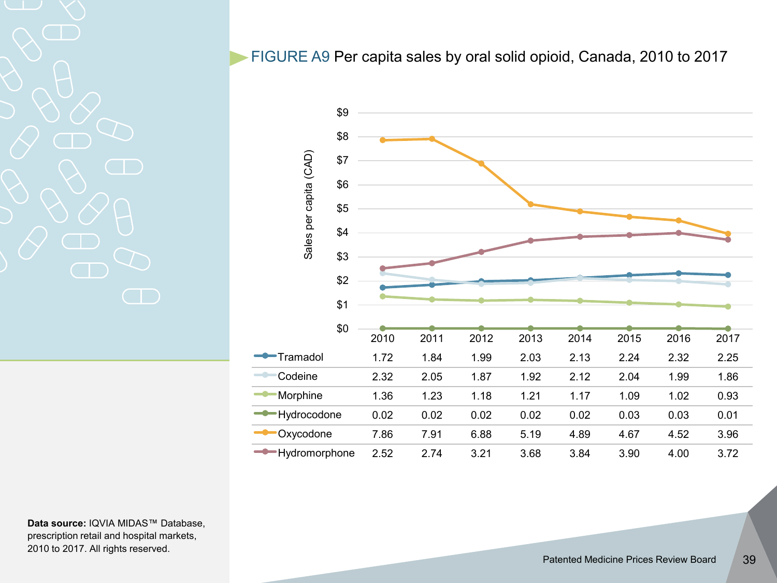FIGURE A9 Per capita sales by oral solid opioid, Canada, 2010 to 2017

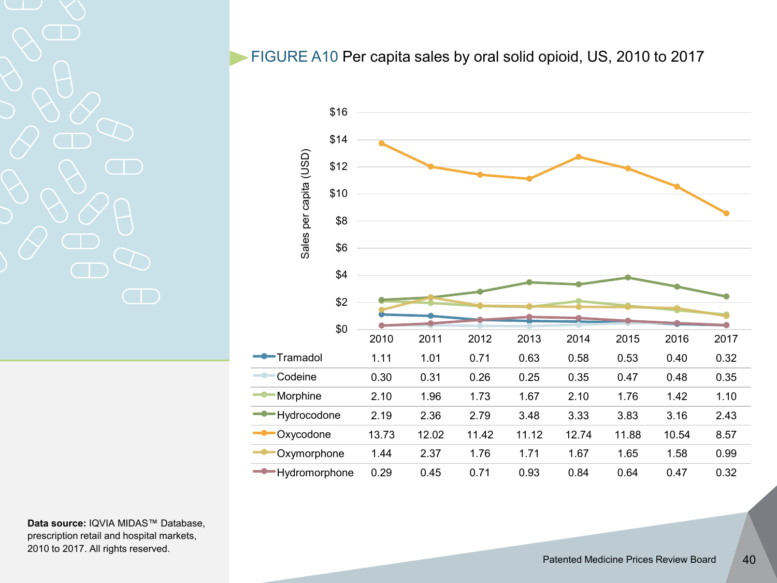#### FIGURE A10 Per capita sales by oral solid opioid, US, 2010 to 2017

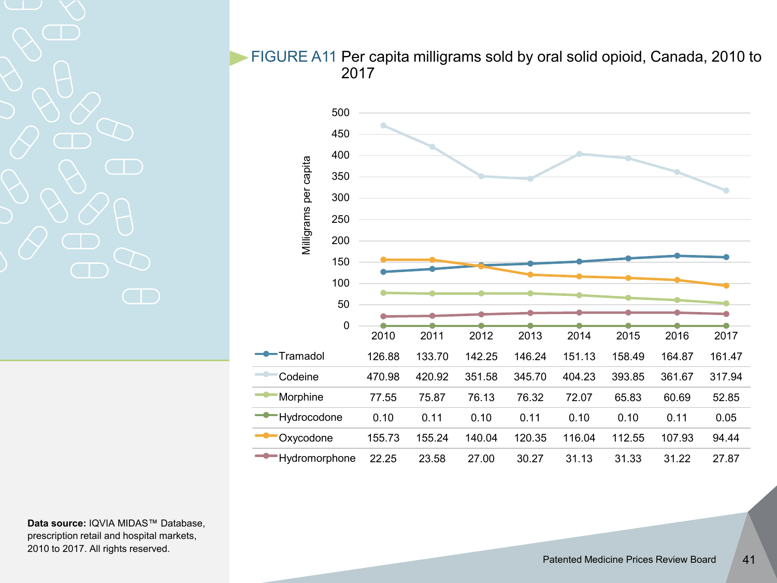FIGURE A11 Per capita milligrams sold by oral solid opioid, Canada, 2010 to 2017

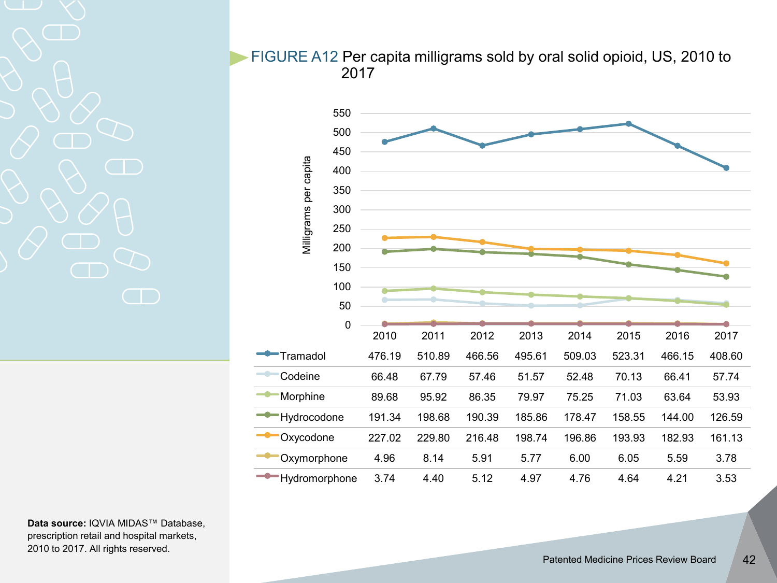FIGURE A12 Per capita milligrams sold by oral solid opioid, US, 2010 to 2017